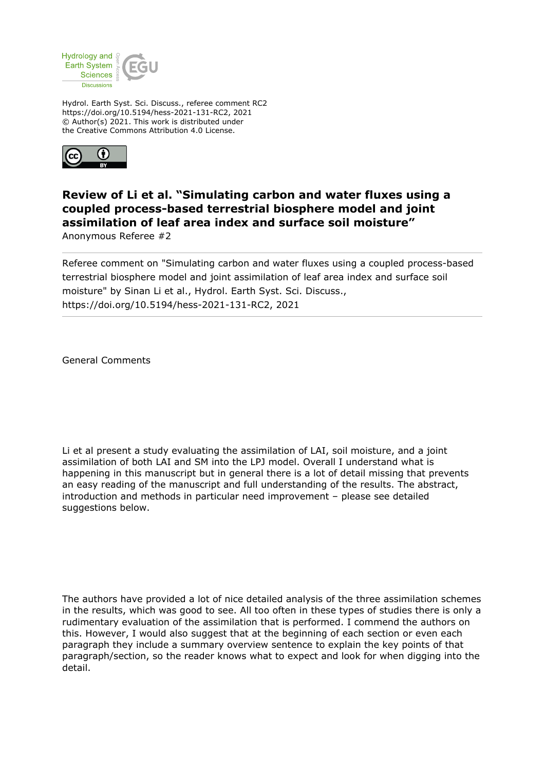

Hydrol. Earth Syst. Sci. Discuss., referee comment RC2 https://doi.org/10.5194/hess-2021-131-RC2, 2021 © Author(s) 2021. This work is distributed under the Creative Commons Attribution 4.0 License.



## **Review of Li et al. "Simulating carbon and water fluxes using a coupled process-based terrestrial biosphere model and joint assimilation of leaf area index and surface soil moisture"**

Anonymous Referee #2

Referee comment on "Simulating carbon and water fluxes using a coupled process-based terrestrial biosphere model and joint assimilation of leaf area index and surface soil moisture" by Sinan Li et al., Hydrol. Earth Syst. Sci. Discuss., https://doi.org/10.5194/hess-2021-131-RC2, 2021

General Comments

Li et al present a study evaluating the assimilation of LAI, soil moisture, and a joint assimilation of both LAI and SM into the LPJ model. Overall I understand what is happening in this manuscript but in general there is a lot of detail missing that prevents an easy reading of the manuscript and full understanding of the results. The abstract, introduction and methods in particular need improvement – please see detailed suggestions below.

The authors have provided a lot of nice detailed analysis of the three assimilation schemes in the results, which was good to see. All too often in these types of studies there is only a rudimentary evaluation of the assimilation that is performed. I commend the authors on this. However, I would also suggest that at the beginning of each section or even each paragraph they include a summary overview sentence to explain the key points of that paragraph/section, so the reader knows what to expect and look for when digging into the detail.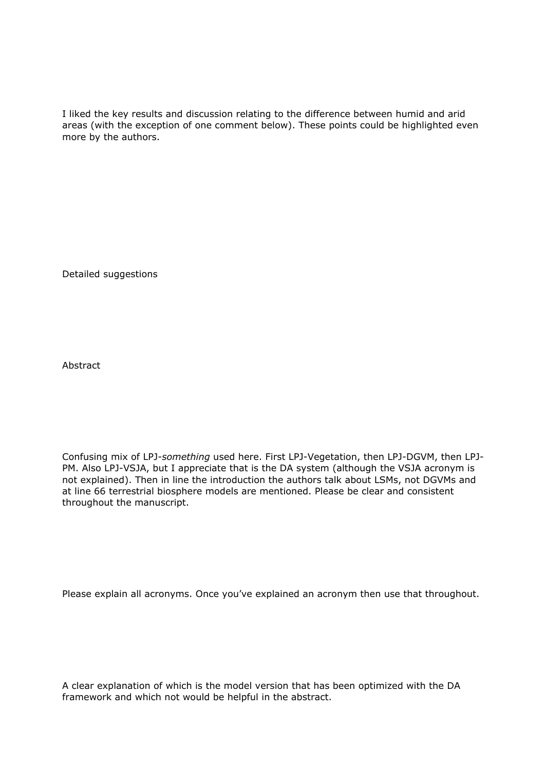I liked the key results and discussion relating to the difference between humid and arid areas (with the exception of one comment below). These points could be highlighted even more by the authors.

Detailed suggestions

Abstract

Confusing mix of LPJ-*something* used here. First LPJ-Vegetation, then LPJ-DGVM, then LPJ-PM. Also LPJ-VSJA, but I appreciate that is the DA system (although the VSJA acronym is not explained). Then in line the introduction the authors talk about LSMs, not DGVMs and at line 66 terrestrial biosphere models are mentioned. Please be clear and consistent throughout the manuscript.

Please explain all acronyms. Once you've explained an acronym then use that throughout.

A clear explanation of which is the model version that has been optimized with the DA framework and which not would be helpful in the abstract.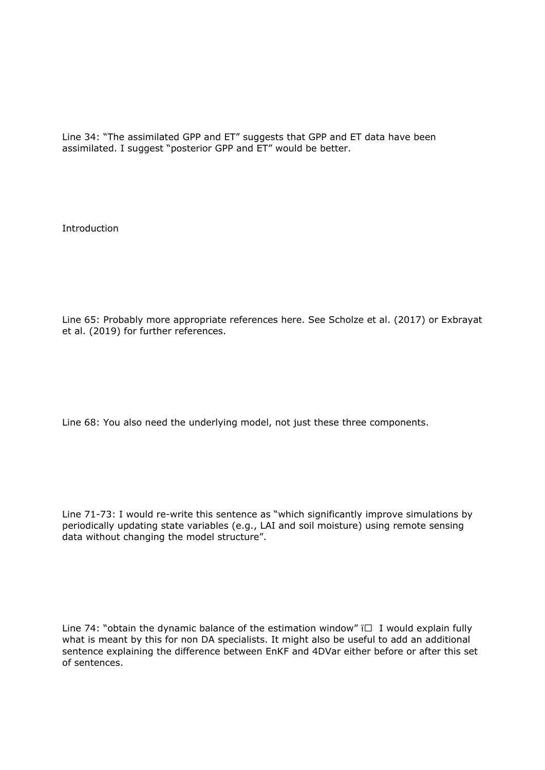Line 34: "The assimilated GPP and ET" suggests that GPP and ET data have been assimilated. I suggest "posterior GPP and ET" would be better.

Introduction

Line 65: Probably more appropriate references here. See Scholze et al. (2017) or Exbrayat et al. (2019) for further references.

Line 68: You also need the underlying model, not just these three components.

Line 71-73: I would re-write this sentence as "which significantly improve simulations by periodically updating state variables (e.g., LAI and soil moisture) using remote sensing data without changing the model structure".

Line 74: "obtain the dynamic balance of the estimation window"  $\Box$  I would explain fully what is meant by this for non DA specialists. It might also be useful to add an additional sentence explaining the difference between EnKF and 4DVar either before or after this set of sentences.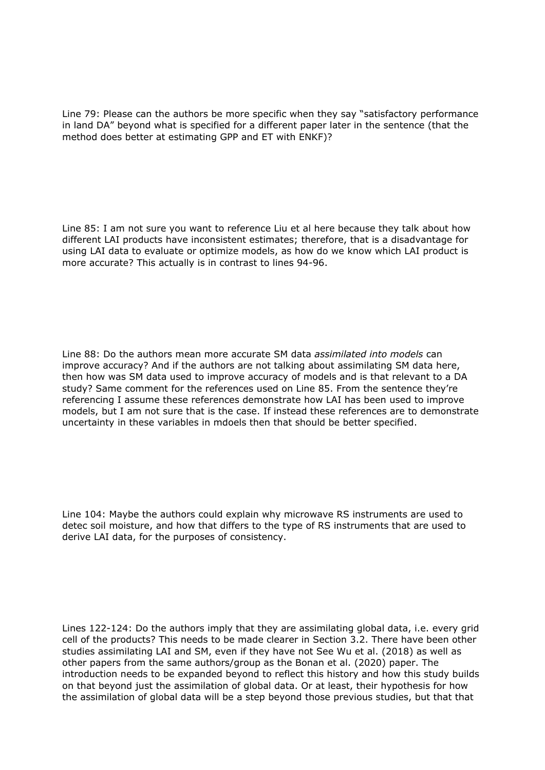Line 79: Please can the authors be more specific when they say "satisfactory performance in land DA" beyond what is specified for a different paper later in the sentence (that the method does better at estimating GPP and ET with ENKF)?

Line 85: I am not sure you want to reference Liu et al here because they talk about how different LAI products have inconsistent estimates; therefore, that is a disadvantage for using LAI data to evaluate or optimize models, as how do we know which LAI product is more accurate? This actually is in contrast to lines 94-96.

Line 88: Do the authors mean more accurate SM data *assimilated into models* can improve accuracy? And if the authors are not talking about assimilating SM data here, then how was SM data used to improve accuracy of models and is that relevant to a DA study? Same comment for the references used on Line 85. From the sentence they're referencing I assume these references demonstrate how LAI has been used to improve models, but I am not sure that is the case. If instead these references are to demonstrate uncertainty in these variables in mdoels then that should be better specified.

Line 104: Maybe the authors could explain why microwave RS instruments are used to detec soil moisture, and how that differs to the type of RS instruments that are used to derive LAI data, for the purposes of consistency.

Lines 122-124: Do the authors imply that they are assimilating global data, i.e. every grid cell of the products? This needs to be made clearer in Section 3.2. There have been other studies assimilating LAI and SM, even if they have not See Wu et al. (2018) as well as other papers from the same authors/group as the Bonan et al. (2020) paper. The introduction needs to be expanded beyond to reflect this history and how this study builds on that beyond just the assimilation of global data. Or at least, their hypothesis for how the assimilation of global data will be a step beyond those previous studies, but that that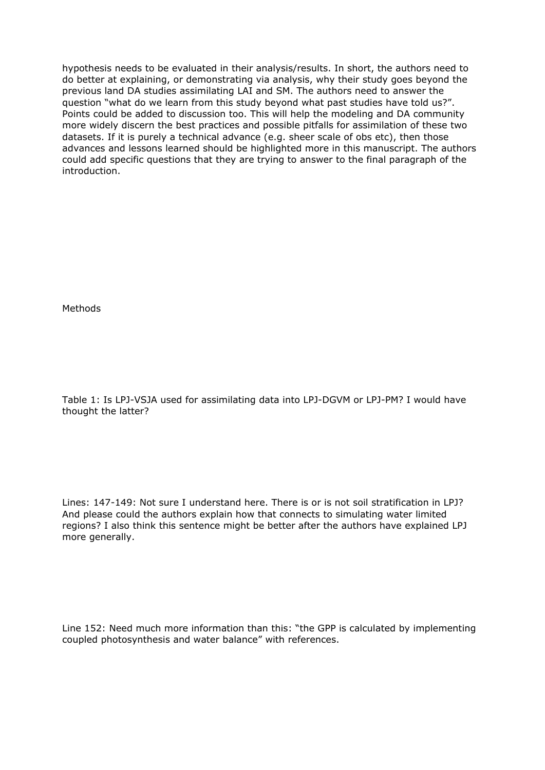hypothesis needs to be evaluated in their analysis/results. In short, the authors need to do better at explaining, or demonstrating via analysis, why their study goes beyond the previous land DA studies assimilating LAI and SM. The authors need to answer the question "what do we learn from this study beyond what past studies have told us?". Points could be added to discussion too. This will help the modeling and DA community more widely discern the best practices and possible pitfalls for assimilation of these two datasets. If it is purely a technical advance (e.g. sheer scale of obs etc), then those advances and lessons learned should be highlighted more in this manuscript. The authors could add specific questions that they are trying to answer to the final paragraph of the introduction.

Methods

Table 1: Is LPJ-VSJA used for assimilating data into LPJ-DGVM or LPJ-PM? I would have thought the latter?

Lines: 147-149: Not sure I understand here. There is or is not soil stratification in LPJ? And please could the authors explain how that connects to simulating water limited regions? I also think this sentence might be better after the authors have explained LPJ more generally.

Line 152: Need much more information than this: "the GPP is calculated by implementing coupled photosynthesis and water balance" with references.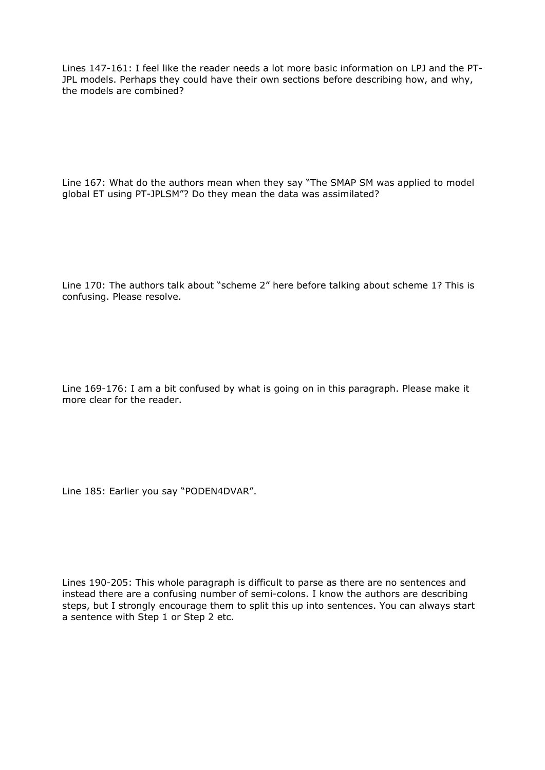Lines 147-161: I feel like the reader needs a lot more basic information on LPJ and the PT-JPL models. Perhaps they could have their own sections before describing how, and why, the models are combined?

Line 167: What do the authors mean when they say "The SMAP SM was applied to model global ET using PT-JPLSM"? Do they mean the data was assimilated?

Line 170: The authors talk about "scheme 2" here before talking about scheme 1? This is confusing. Please resolve.

Line 169-176: I am a bit confused by what is going on in this paragraph. Please make it more clear for the reader.

Line 185: Earlier you say "PODEN4DVAR".

Lines 190-205: This whole paragraph is difficult to parse as there are no sentences and instead there are a confusing number of semi-colons. I know the authors are describing steps, but I strongly encourage them to split this up into sentences. You can always start a sentence with Step 1 or Step 2 etc.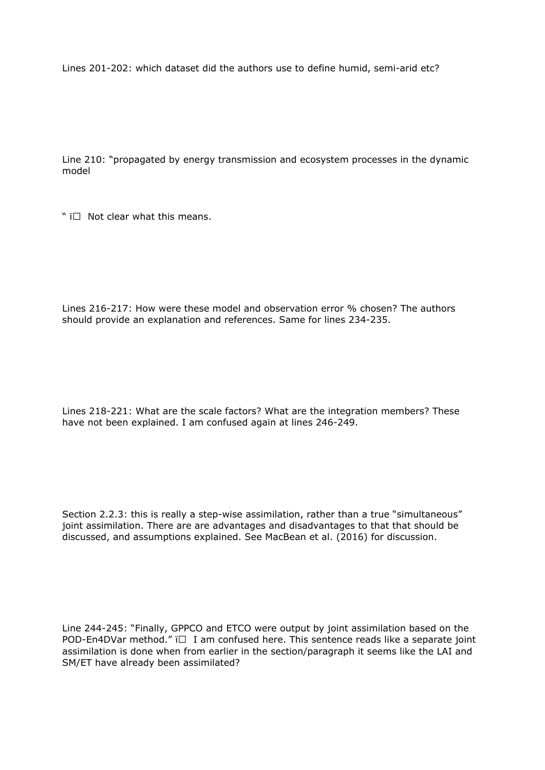Lines 201-202: which dataset did the authors use to define humid, semi-arid etc?

Line 210: "propagated by energy transmission and ecosystem processes in the dynamic model

"  $\overline{I}$  Not clear what this means.

Lines 216-217: How were these model and observation error % chosen? The authors should provide an explanation and references. Same for lines 234-235.

Lines 218-221: What are the scale factors? What are the integration members? These have not been explained. I am confused again at lines 246-249.

Section 2.2.3: this is really a step-wise assimilation, rather than a true "simultaneous" joint assimilation. There are are advantages and disadvantages to that that should be discussed, and assumptions explained. See MacBean et al. (2016) for discussion.

Line 244-245: "Finally, GPPCO and ETCO were output by joint assimilation based on the POD-En4DVar method."  $\Box$  I am confused here. This sentence reads like a separate joint assimilation is done when from earlier in the section/paragraph it seems like the LAI and SM/ET have already been assimilated?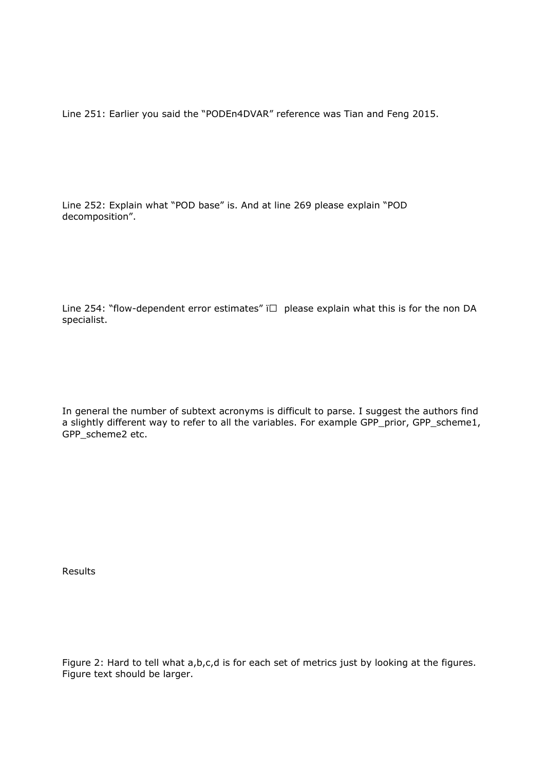Line 251: Earlier you said the "PODEn4DVAR" reference was Tian and Feng 2015.

Line 252: Explain what "POD base" is. And at line 269 please explain "POD decomposition".

Line 254: "flow-dependent error estimates"  $\Box$  please explain what this is for the non DA specialist.

In general the number of subtext acronyms is difficult to parse. I suggest the authors find a slightly different way to refer to all the variables. For example GPP\_prior, GPP\_scheme1, GPP\_scheme2 etc.

Results

Figure 2: Hard to tell what a,b,c,d is for each set of metrics just by looking at the figures. Figure text should be larger.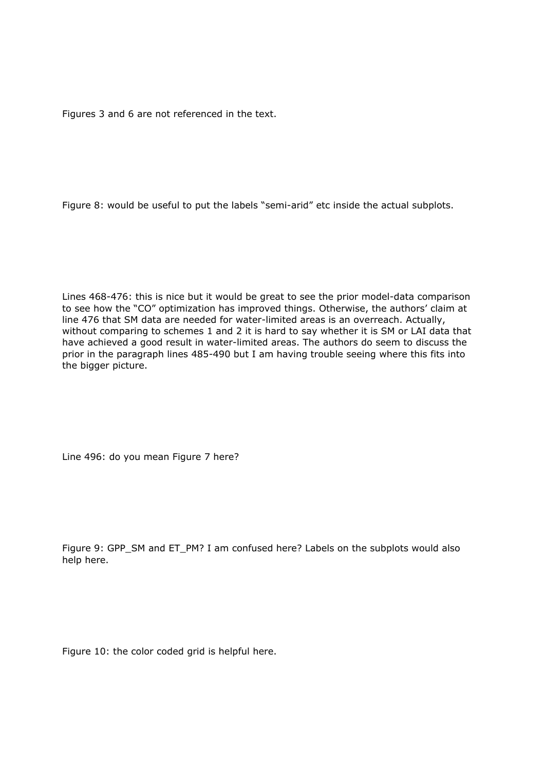Figures 3 and 6 are not referenced in the text.

Figure 8: would be useful to put the labels "semi-arid" etc inside the actual subplots.

Lines 468-476: this is nice but it would be great to see the prior model-data comparison to see how the "CO" optimization has improved things. Otherwise, the authors' claim at line 476 that SM data are needed for water-limited areas is an overreach. Actually, without comparing to schemes 1 and 2 it is hard to say whether it is SM or LAI data that have achieved a good result in water-limited areas. The authors do seem to discuss the prior in the paragraph lines 485-490 but I am having trouble seeing where this fits into the bigger picture.

Line 496: do you mean Figure 7 here?

Figure 9: GPP\_SM and ET\_PM? I am confused here? Labels on the subplots would also help here.

Figure 10: the color coded grid is helpful here.